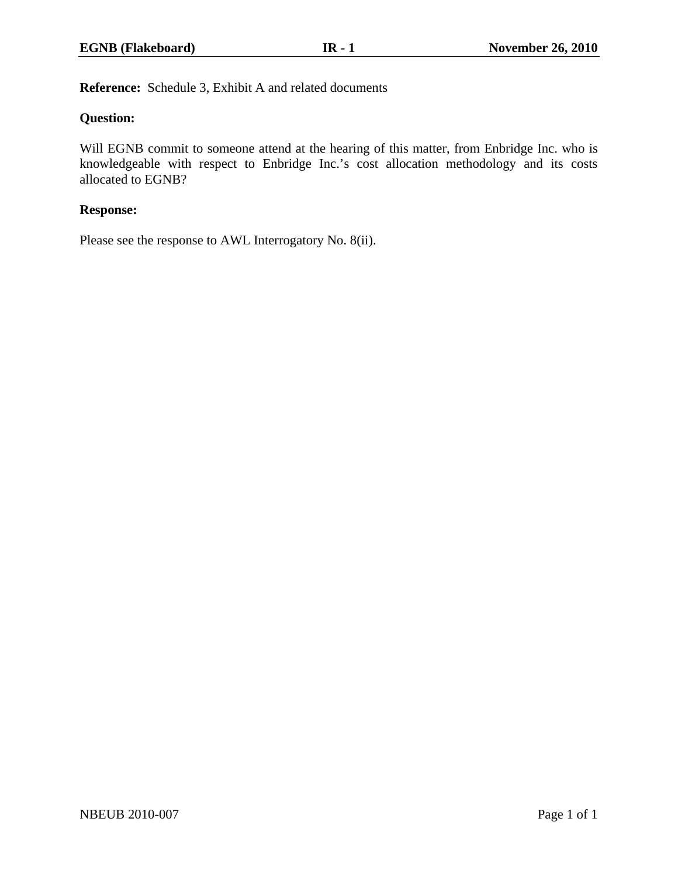**Reference:** Schedule 3, Exhibit A and related documents

## **Question:**

Will EGNB commit to someone attend at the hearing of this matter, from Enbridge Inc. who is knowledgeable with respect to Enbridge Inc.'s cost allocation methodology and its costs allocated to EGNB?

## **Response:**

Please see the response to AWL Interrogatory No. 8(ii).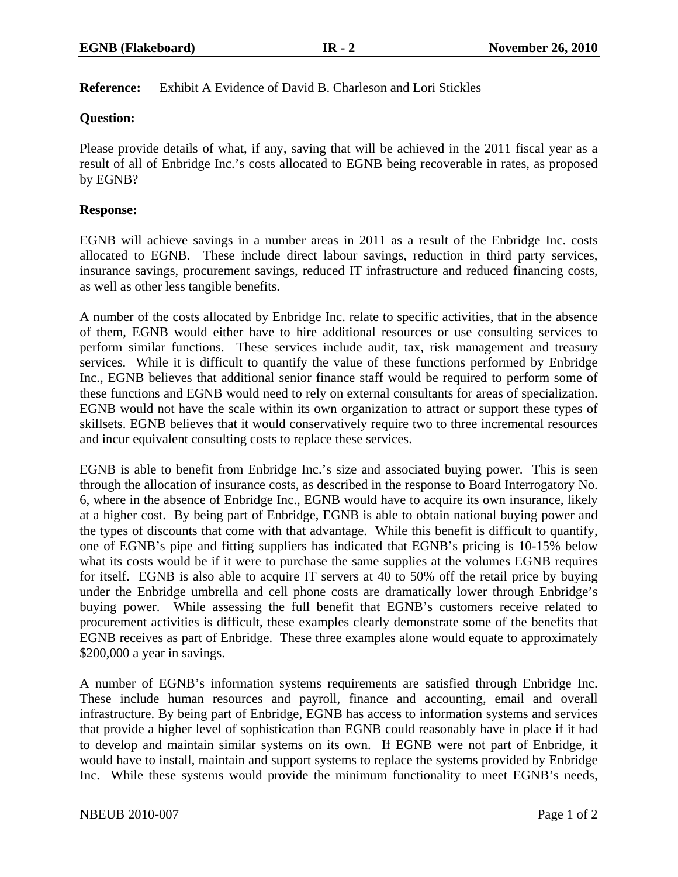## **Reference:** Exhibit A Evidence of David B. Charleson and Lori Stickles

## **Question:**

Please provide details of what, if any, saving that will be achieved in the 2011 fiscal year as a result of all of Enbridge Inc.'s costs allocated to EGNB being recoverable in rates, as proposed by EGNB?

## **Response:**

EGNB will achieve savings in a number areas in 2011 as a result of the Enbridge Inc. costs allocated to EGNB. These include direct labour savings, reduction in third party services, insurance savings, procurement savings, reduced IT infrastructure and reduced financing costs, as well as other less tangible benefits.

A number of the costs allocated by Enbridge Inc. relate to specific activities, that in the absence of them, EGNB would either have to hire additional resources or use consulting services to perform similar functions. These services include audit, tax, risk management and treasury services. While it is difficult to quantify the value of these functions performed by Enbridge Inc., EGNB believes that additional senior finance staff would be required to perform some of these functions and EGNB would need to rely on external consultants for areas of specialization. EGNB would not have the scale within its own organization to attract or support these types of skillsets. EGNB believes that it would conservatively require two to three incremental resources and incur equivalent consulting costs to replace these services.

EGNB is able to benefit from Enbridge Inc.'s size and associated buying power. This is seen through the allocation of insurance costs, as described in the response to Board Interrogatory No. 6, where in the absence of Enbridge Inc., EGNB would have to acquire its own insurance, likely at a higher cost. By being part of Enbridge, EGNB is able to obtain national buying power and the types of discounts that come with that advantage. While this benefit is difficult to quantify, one of EGNB's pipe and fitting suppliers has indicated that EGNB's pricing is 10-15% below what its costs would be if it were to purchase the same supplies at the volumes EGNB requires for itself. EGNB is also able to acquire IT servers at 40 to 50% off the retail price by buying under the Enbridge umbrella and cell phone costs are dramatically lower through Enbridge's buying power. While assessing the full benefit that EGNB's customers receive related to procurement activities is difficult, these examples clearly demonstrate some of the benefits that EGNB receives as part of Enbridge. These three examples alone would equate to approximately \$200,000 a year in savings.

A number of EGNB's information systems requirements are satisfied through Enbridge Inc. These include human resources and payroll, finance and accounting, email and overall infrastructure. By being part of Enbridge, EGNB has access to information systems and services that provide a higher level of sophistication than EGNB could reasonably have in place if it had to develop and maintain similar systems on its own. If EGNB were not part of Enbridge, it would have to install, maintain and support systems to replace the systems provided by Enbridge Inc. While these systems would provide the minimum functionality to meet EGNB's needs,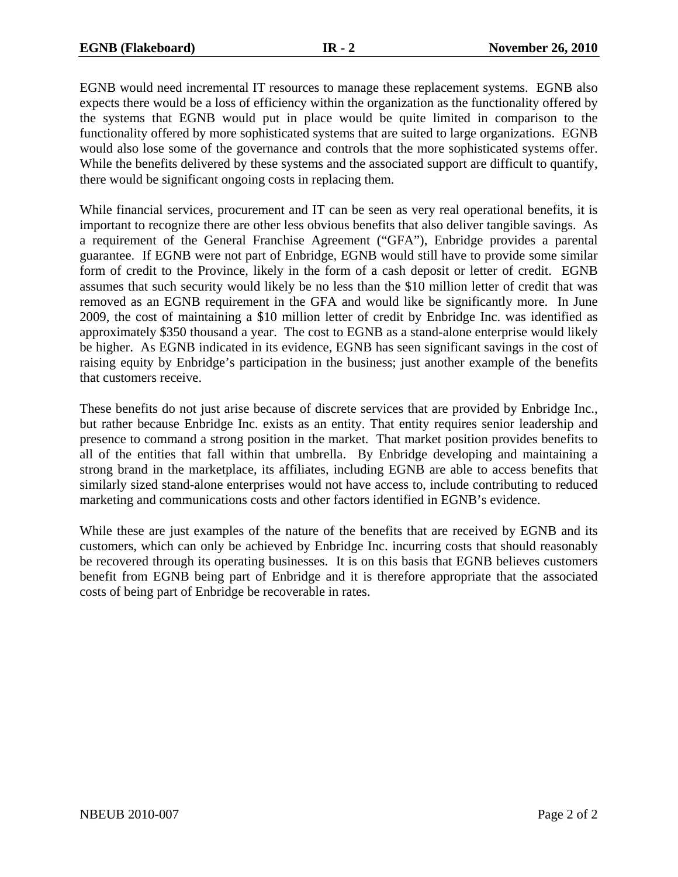EGNB would need incremental IT resources to manage these replacement systems. EGNB also expects there would be a loss of efficiency within the organization as the functionality offered by the systems that EGNB would put in place would be quite limited in comparison to the functionality offered by more sophisticated systems that are suited to large organizations. EGNB would also lose some of the governance and controls that the more sophisticated systems offer. While the benefits delivered by these systems and the associated support are difficult to quantify, there would be significant ongoing costs in replacing them.

While financial services, procurement and IT can be seen as very real operational benefits, it is important to recognize there are other less obvious benefits that also deliver tangible savings. As a requirement of the General Franchise Agreement ("GFA"), Enbridge provides a parental guarantee. If EGNB were not part of Enbridge, EGNB would still have to provide some similar form of credit to the Province, likely in the form of a cash deposit or letter of credit. EGNB assumes that such security would likely be no less than the \$10 million letter of credit that was removed as an EGNB requirement in the GFA and would like be significantly more. In June 2009, the cost of maintaining a \$10 million letter of credit by Enbridge Inc. was identified as approximately \$350 thousand a year. The cost to EGNB as a stand-alone enterprise would likely be higher. As EGNB indicated in its evidence, EGNB has seen significant savings in the cost of raising equity by Enbridge's participation in the business; just another example of the benefits that customers receive.

These benefits do not just arise because of discrete services that are provided by Enbridge Inc., but rather because Enbridge Inc. exists as an entity. That entity requires senior leadership and presence to command a strong position in the market. That market position provides benefits to all of the entities that fall within that umbrella. By Enbridge developing and maintaining a strong brand in the marketplace, its affiliates, including EGNB are able to access benefits that similarly sized stand-alone enterprises would not have access to, include contributing to reduced marketing and communications costs and other factors identified in EGNB's evidence.

While these are just examples of the nature of the benefits that are received by EGNB and its customers, which can only be achieved by Enbridge Inc. incurring costs that should reasonably be recovered through its operating businesses. It is on this basis that EGNB believes customers benefit from EGNB being part of Enbridge and it is therefore appropriate that the associated costs of being part of Enbridge be recoverable in rates.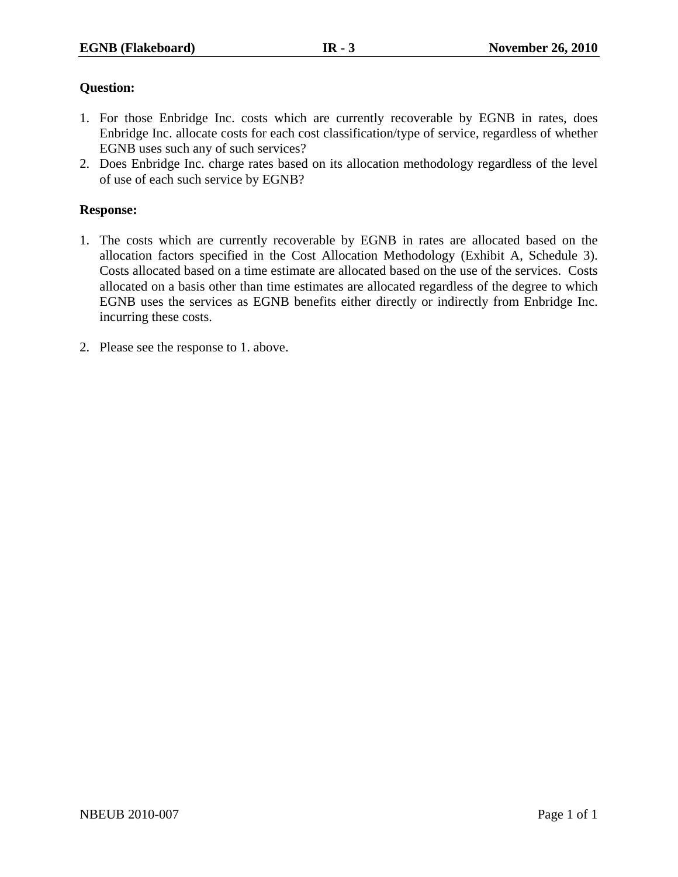- 1. For those Enbridge Inc. costs which are currently recoverable by EGNB in rates, does Enbridge Inc. allocate costs for each cost classification/type of service, regardless of whether EGNB uses such any of such services?
- 2. Does Enbridge Inc. charge rates based on its allocation methodology regardless of the level of use of each such service by EGNB?

#### **Response:**

- 1. The costs which are currently recoverable by EGNB in rates are allocated based on the allocation factors specified in the Cost Allocation Methodology (Exhibit A, Schedule 3). Costs allocated based on a time estimate are allocated based on the use of the services. Costs allocated on a basis other than time estimates are allocated regardless of the degree to which EGNB uses the services as EGNB benefits either directly or indirectly from Enbridge Inc. incurring these costs.
- 2. Please see the response to 1. above.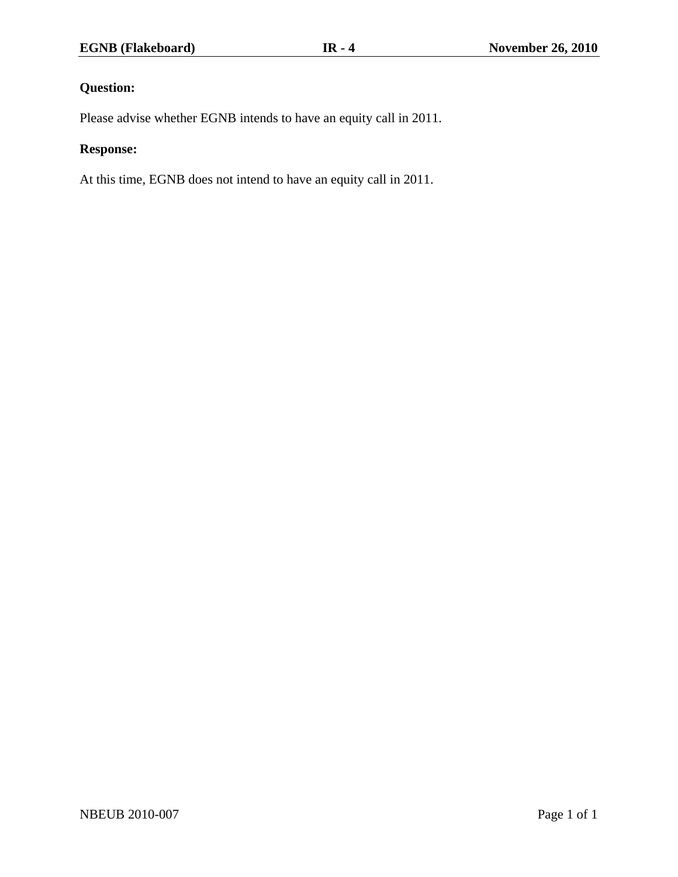Please advise whether EGNB intends to have an equity call in 2011.

# **Response:**

At this time, EGNB does not intend to have an equity call in 2011.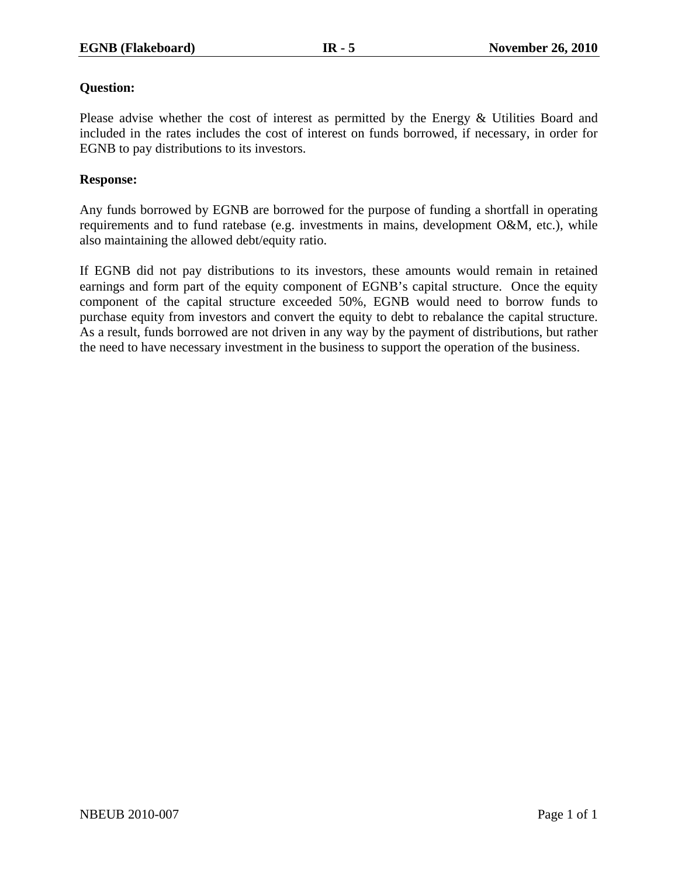Please advise whether the cost of interest as permitted by the Energy & Utilities Board and included in the rates includes the cost of interest on funds borrowed, if necessary, in order for EGNB to pay distributions to its investors.

## **Response:**

Any funds borrowed by EGNB are borrowed for the purpose of funding a shortfall in operating requirements and to fund ratebase (e.g. investments in mains, development O&M, etc.), while also maintaining the allowed debt/equity ratio.

If EGNB did not pay distributions to its investors, these amounts would remain in retained earnings and form part of the equity component of EGNB's capital structure. Once the equity component of the capital structure exceeded 50%, EGNB would need to borrow funds to purchase equity from investors and convert the equity to debt to rebalance the capital structure. As a result, funds borrowed are not driven in any way by the payment of distributions, but rather the need to have necessary investment in the business to support the operation of the business.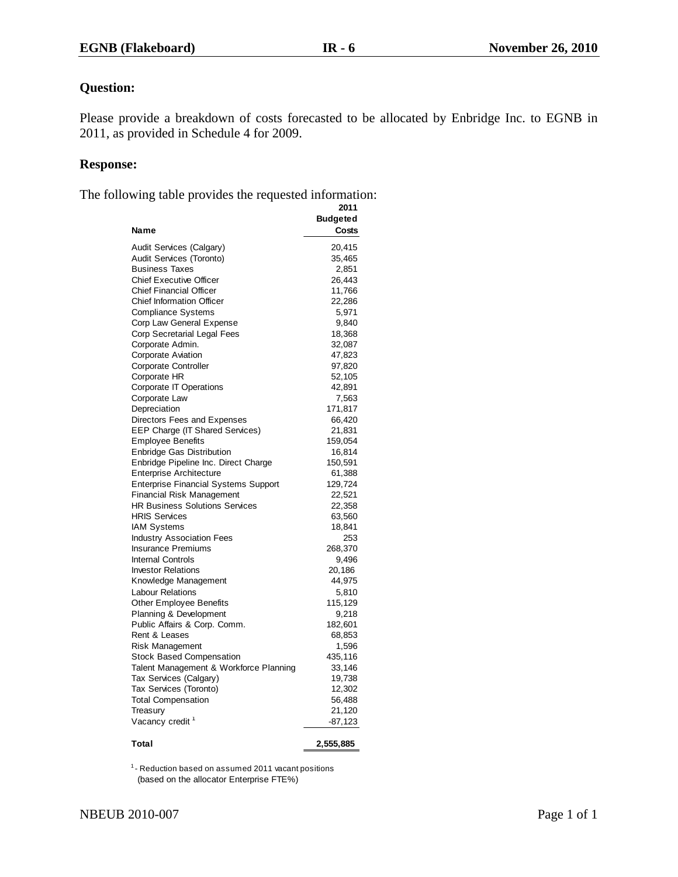Please provide a breakdown of costs forecasted to be allocated by Enbridge Inc. to EGNB in 2011, as provided in Schedule 4 for 2009.

#### **Response:**

The following table provides the requested information:

|                                             | 2011            |
|---------------------------------------------|-----------------|
|                                             | <b>Budgeted</b> |
| Name                                        | Costs           |
| Audit Services (Calgary)                    | 20,415          |
| Audit Services (Toronto)                    | 35,465          |
| <b>Business Taxes</b>                       | 2,851           |
| <b>Chief Executive Officer</b>              | 26,443          |
| <b>Chief Financial Officer</b>              | 11,766          |
| <b>Chief Information Officer</b>            | 22,286          |
| <b>Compliance Systems</b>                   | 5,971           |
| Corp Law General Expense                    | 9,840           |
|                                             |                 |
| Corp Secretarial Legal Fees                 | 18,368          |
| Corporate Admin.                            | 32,087          |
| <b>Corporate Aviation</b>                   | 47,823          |
| <b>Corporate Controller</b>                 | 97,820          |
| Corporate HR                                | 52,105          |
| <b>Corporate IT Operations</b>              | 42,891          |
| Corporate Law                               | 7,563           |
| Depreciation                                | 171,817         |
| Directors Fees and Expenses                 | 66,420          |
| <b>EEP Charge (IT Shared Services)</b>      | 21,831          |
| <b>Employee Benefits</b>                    | 159,054         |
| <b>Enbridge Gas Distribution</b>            | 16,814          |
| Enbridge Pipeline Inc. Direct Charge        | 150,591         |
| <b>Enterprise Architecture</b>              | 61,388          |
| <b>Enterprise Financial Systems Support</b> | 129,724         |
| <b>Financial Risk Management</b>            | 22,521          |
| <b>HR Business Solutions Services</b>       | 22,358          |
| <b>HRIS Services</b>                        | 63,560          |
| <b>IAM Systems</b>                          | 18,841          |
| <b>Industry Association Fees</b>            | 253             |
| <b>Insurance Premiums</b>                   | 268,370         |
| <b>Internal Controls</b>                    | 9,496           |
| <b>Investor Relations</b>                   | 20,186          |
| Knowledge Management                        | 44,975          |
| <b>Labour Relations</b>                     | 5,810           |
| Other Employee Benefits                     | 115,129         |
| Planning & Development                      | 9,218           |
| Public Affairs & Corp. Comm.                | 182,601         |
| Rent & Leases                               | 68,853          |
|                                             |                 |
| <b>Risk Management</b>                      | 1,596           |
| <b>Stock Based Compensation</b>             | 435,116         |
| Talent Management & Workforce Planning      | 33,146          |
| Tax Services (Calgary)                      | 19,738          |
| Tax Services (Toronto)                      | 12,302          |
| <b>Total Compensation</b>                   | 56,488          |
| Treasury                                    | 21,120          |
| Vacancy credit <sup>1</sup>                 | $-87,123$       |
| Total                                       | 2,555,885       |

(based on the allocator Enterprise FTE%)  $^{\text{1}}$ - Reduction based on assumed 2011 vacant positions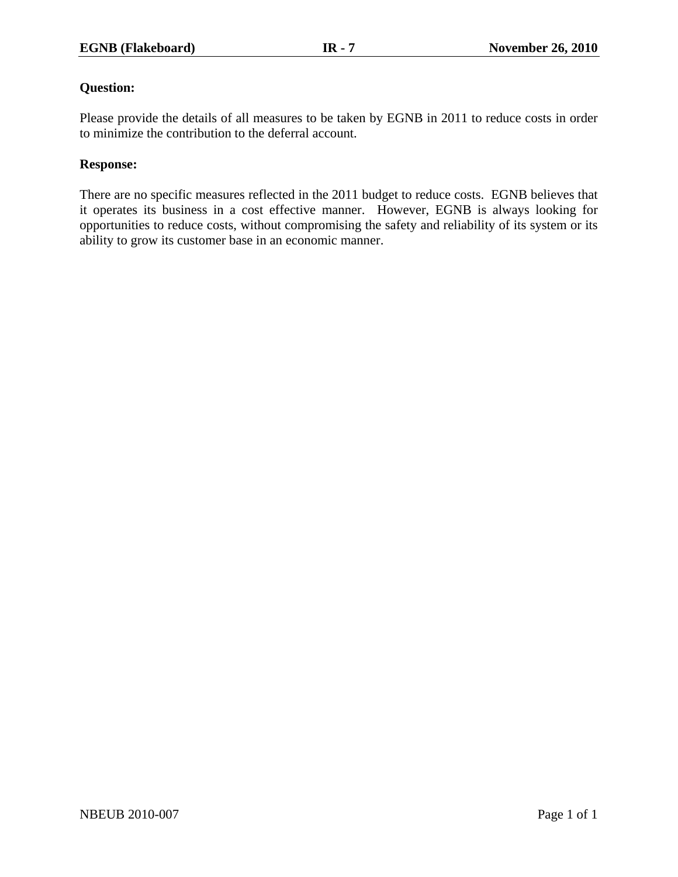Please provide the details of all measures to be taken by EGNB in 2011 to reduce costs in order to minimize the contribution to the deferral account.

## **Response:**

There are no specific measures reflected in the 2011 budget to reduce costs. EGNB believes that it operates its business in a cost effective manner. However, EGNB is always looking for opportunities to reduce costs, without compromising the safety and reliability of its system or its ability to grow its customer base in an economic manner.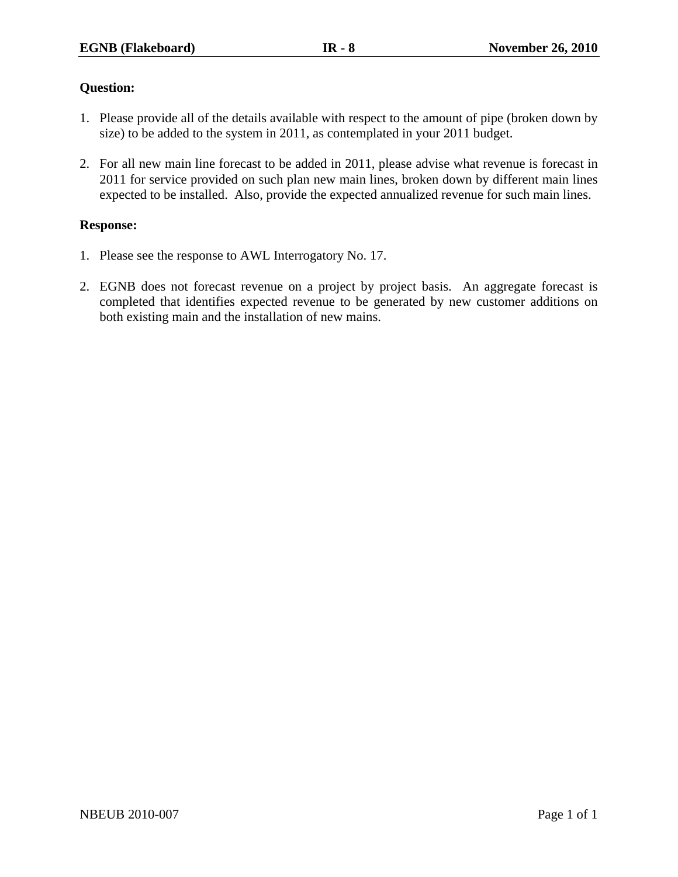- 1. Please provide all of the details available with respect to the amount of pipe (broken down by size) to be added to the system in 2011, as contemplated in your 2011 budget.
- 2. For all new main line forecast to be added in 2011, please advise what revenue is forecast in 2011 for service provided on such plan new main lines, broken down by different main lines expected to be installed. Also, provide the expected annualized revenue for such main lines.

## **Response:**

- 1. Please see the response to AWL Interrogatory No. 17.
- 2. EGNB does not forecast revenue on a project by project basis. An aggregate forecast is completed that identifies expected revenue to be generated by new customer additions on both existing main and the installation of new mains.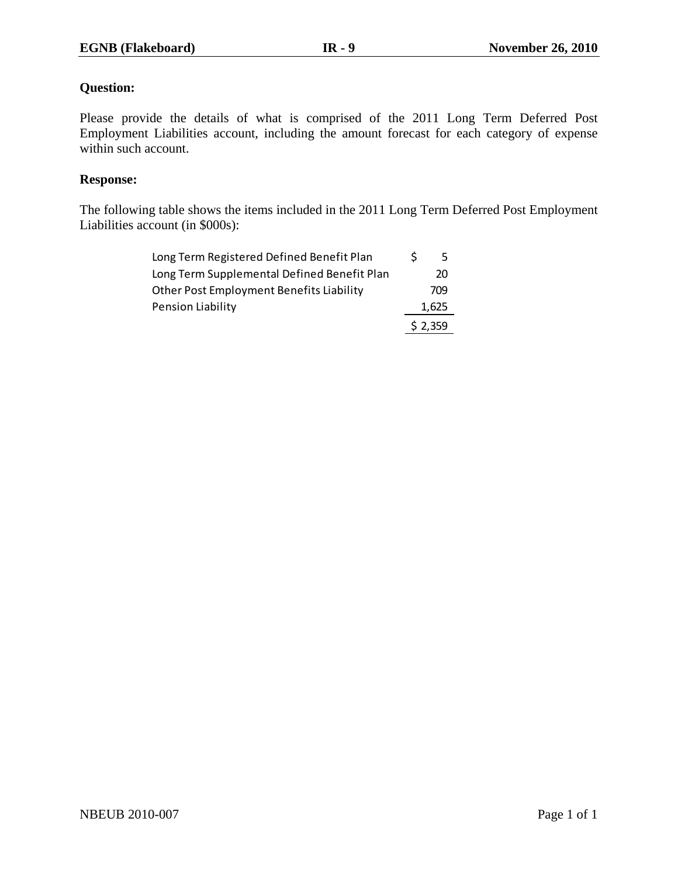Please provide the details of what is comprised of the 2011 Long Term Deferred Post Employment Liabilities account, including the amount forecast for each category of expense within such account.

## **Response:**

The following table shows the items included in the 2011 Long Term Deferred Post Employment Liabilities account (in \$000s):

| Long Term Registered Defined Benefit Plan   | 5.      |
|---------------------------------------------|---------|
| Long Term Supplemental Defined Benefit Plan | 20      |
| Other Post Employment Benefits Liability    | 709     |
| Pension Liability                           | 1,625   |
|                                             | \$2,359 |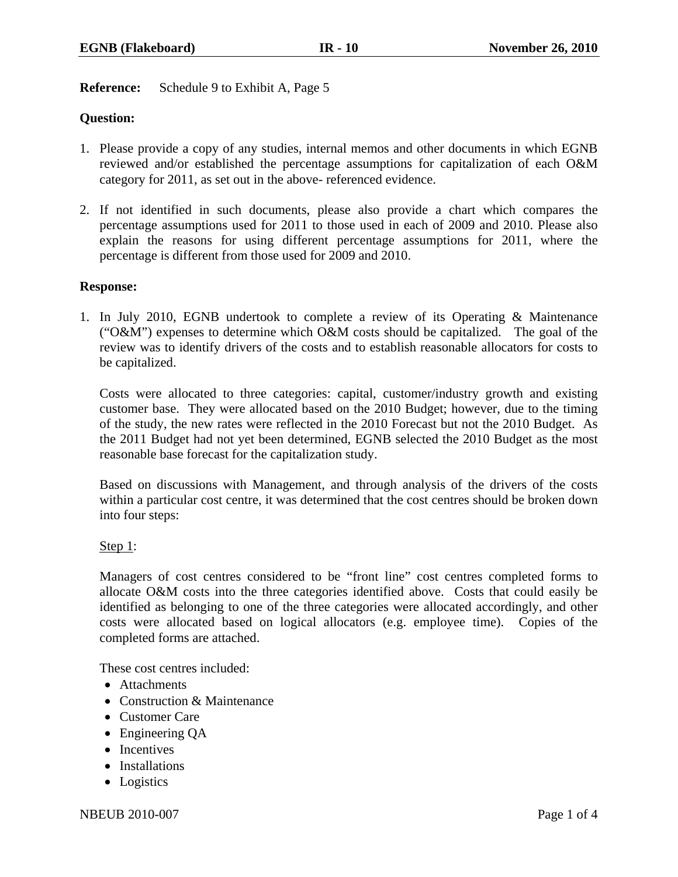## **Reference:** Schedule 9 to Exhibit A, Page 5

## **Question:**

- 1. Please provide a copy of any studies, internal memos and other documents in which EGNB reviewed and/or established the percentage assumptions for capitalization of each O&M category for 2011, as set out in the above- referenced evidence.
- 2. If not identified in such documents, please also provide a chart which compares the percentage assumptions used for 2011 to those used in each of 2009 and 2010. Please also explain the reasons for using different percentage assumptions for 2011, where the percentage is different from those used for 2009 and 2010.

#### **Response:**

1. In July 2010, EGNB undertook to complete a review of its Operating & Maintenance ("O&M") expenses to determine which O&M costs should be capitalized. The goal of the review was to identify drivers of the costs and to establish reasonable allocators for costs to be capitalized.

Costs were allocated to three categories: capital, customer/industry growth and existing customer base. They were allocated based on the 2010 Budget; however, due to the timing of the study, the new rates were reflected in the 2010 Forecast but not the 2010 Budget. As the 2011 Budget had not yet been determined, EGNB selected the 2010 Budget as the most reasonable base forecast for the capitalization study.

Based on discussions with Management, and through analysis of the drivers of the costs within a particular cost centre, it was determined that the cost centres should be broken down into four steps:

## Step  $1$ :

Managers of cost centres considered to be "front line" cost centres completed forms to allocate O&M costs into the three categories identified above. Costs that could easily be identified as belonging to one of the three categories were allocated accordingly, and other costs were allocated based on logical allocators (e.g. employee time). Copies of the completed forms are attached.

These cost centres included:

- Attachments
- Construction & Maintenance
- Customer Care
- Engineering QA
- Incentives
- Installations
- Logistics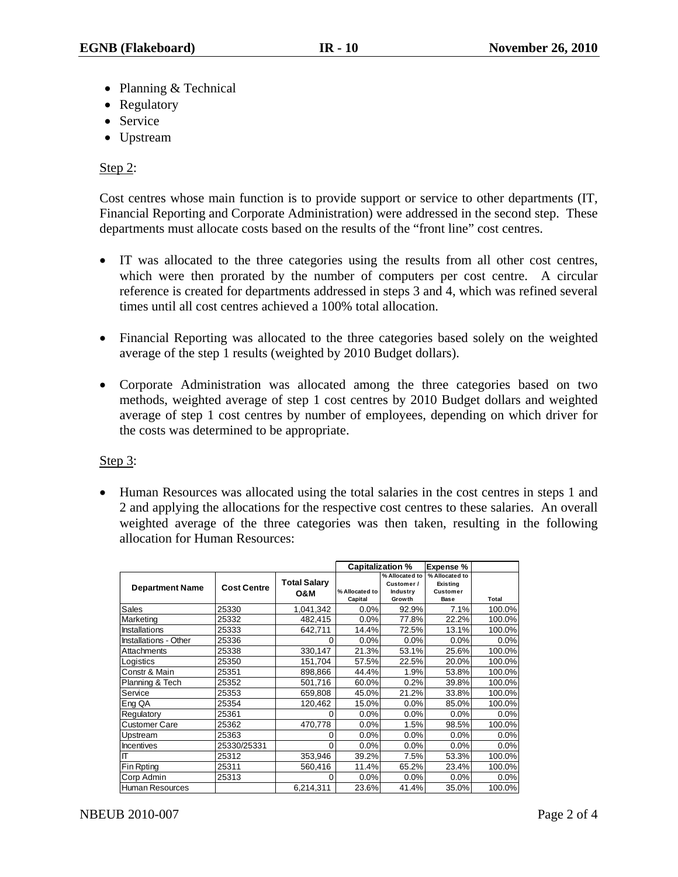- Planning & Technical
- Regulatory
- Service
- Upstream

## Step 2:

Cost centres whose main function is to provide support or service to other departments (IT, Financial Reporting and Corporate Administration) were addressed in the second step. These departments must allocate costs based on the results of the "front line" cost centres.

- IT was allocated to the three categories using the results from all other cost centres, which were then prorated by the number of computers per cost centre. A circular reference is created for departments addressed in steps 3 and 4, which was refined several times until all cost centres achieved a 100% total allocation.
- Financial Reporting was allocated to the three categories based solely on the weighted average of the step 1 results (weighted by 2010 Budget dollars).
- Corporate Administration was allocated among the three categories based on two methods, weighted average of step 1 cost centres by 2010 Budget dollars and weighted average of step 1 cost centres by number of employees, depending on which driver for the costs was determined to be appropriate.

## Step 3:

• Human Resources was allocated using the total salaries in the cost centres in steps 1 and 2 and applying the allocations for the respective cost centres to these salaries. An overall weighted average of the three categories was then taken, resulting in the following allocation for Human Resources:

|                        |                    |                     | <b>Capitalization %</b> |                | <b>Expense %</b> |        |
|------------------------|--------------------|---------------------|-------------------------|----------------|------------------|--------|
|                        |                    |                     |                         | % Allocated to | % Allocated to   |        |
| <b>Department Name</b> | <b>Cost Centre</b> | <b>Total Salary</b> |                         | Customer /     | Existing         |        |
|                        |                    | <b>O&amp;M</b>      | % Allocated to          | Industry       | <b>Customer</b>  |        |
|                        |                    |                     | Capital                 | Growth         | Base             | Total  |
| <b>Sales</b>           | 25330              | 1,041,342           | $0.0\%$                 | 92.9%          | 7.1%             | 100.0% |
| Marketing              | 25332              | 482,415             | 0.0%                    | 77.8%          | 22.2%            | 100.0% |
| <b>Installations</b>   | 25333              | 642,711             | 14.4%                   | 72.5%          | 13.1%            | 100.0% |
| Installations - Other  | 25336              | 0                   | 0.0%                    | 0.0%           | 0.0%             | 0.0%   |
| Attachments            | 25338              | 330,147             | 21.3%                   | 53.1%          | 25.6%            | 100.0% |
| Logistics              | 25350              | 151,704             | 57.5%                   | 22.5%          | 20.0%            | 100.0% |
| Constr & Main          | 25351              | 898,866             | 44.4%                   | 1.9%           | 53.8%            | 100.0% |
| Planning & Tech        | 25352              | 501,716             | 60.0%                   | 0.2%           | 39.8%            | 100.0% |
| Service                | 25353              | 659,808             | 45.0%                   | 21.2%          | 33.8%            | 100.0% |
| Eng QA                 | 25354              | 120,462             | 15.0%                   | 0.0%           | 85.0%            | 100.0% |
| Regulatory             | 25361              | 0                   | 0.0%                    | 0.0%           | 0.0%             | 0.0%   |
| <b>Customer Care</b>   | 25362              | 470,778             | 0.0%                    | 1.5%           | 98.5%            | 100.0% |
| Upstream               | 25363              | 0                   | 0.0%                    | 0.0%           | 0.0%             | 0.0%   |
| <b>Incentives</b>      | 25330/25331        | $\Omega$            | 0.0%                    | 0.0%           | 0.0%             | 0.0%   |
| П                      | 25312              | 353,946             | 39.2%                   | 7.5%           | 53.3%            | 100.0% |
| Fin Rpting             | 25311              | 560,416             | 11.4%                   | 65.2%          | 23.4%            | 100.0% |
| Corp Admin             | 25313              | 0                   | 0.0%                    | 0.0%           | 0.0%             | 0.0%   |
| <b>Human Resources</b> |                    | 6,214,311           | 23.6%                   | 41.4%          | 35.0%            | 100.0% |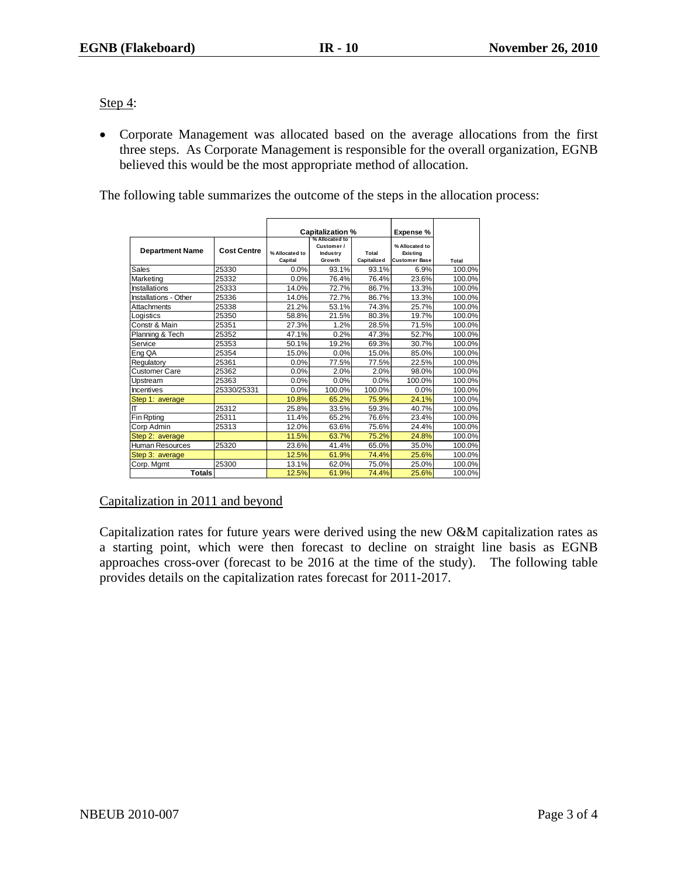Step 4:

• Corporate Management was allocated based on the average allocations from the first three steps. As Corporate Management is responsible for the overall organization, EGNB believed this would be the most appropriate method of allocation.

The following table summarizes the outcome of the steps in the allocation process:

|                        |                    | <b>Capitalization %</b> |                    | Expense %   |                                  |        |
|------------------------|--------------------|-------------------------|--------------------|-------------|----------------------------------|--------|
|                        |                    |                         | % Allocated to     |             |                                  |        |
| <b>Department Name</b> | <b>Cost Centre</b> |                         | Customer /         |             | % Allocated to                   |        |
|                        |                    | % Allocated to          | Industry<br>Growth | Total       | Existina<br><b>Customer Base</b> |        |
|                        |                    | Capital                 |                    | Capitalized |                                  | Total  |
| <b>Sales</b>           | 25330              | 0.0%                    | 93.1%              | 93.1%       | 6.9%                             | 100.0% |
| Marketing              | 25332              | 0.0%                    | 76.4%              | 76.4%       | 23.6%                            | 100.0% |
| <b>Installations</b>   | 25333              | 14.0%                   | 72.7%              | 86.7%       | 13.3%                            | 100.0% |
| Installations - Other  | 25336              | 14.0%                   | 72.7%              | 86.7%       | 13.3%                            | 100.0% |
| Attachments            | 25338              | 21.2%                   | 53.1%              | 74.3%       | 25.7%                            | 100.0% |
| Logistics              | 25350              | 58.8%                   | 21.5%              | 80.3%       | 19.7%                            | 100.0% |
| Constr & Main          | 25351              | 27.3%                   | 1.2%               | 28.5%       | 71.5%                            | 100.0% |
| Planning & Tech        | 25352              | 47.1%                   | 0.2%               | 47.3%       | 52.7%                            | 100.0% |
| Service                | 25353              | 50.1%                   | 19.2%              | 69.3%       | 30.7%                            | 100.0% |
| Eng QA                 | 25354              | 15.0%                   | 0.0%               | 15.0%       | 85.0%                            | 100.0% |
| Regulatory             | 25361              | 0.0%                    | 77.5%              | 77.5%       | 22.5%                            | 100.0% |
| <b>Customer Care</b>   | 25362              | 0.0%                    | 2.0%               | 2.0%        | 98.0%                            | 100.0% |
| Upstream               | 25363              | 0.0%                    | 0.0%               | 0.0%        | 100.0%                           | 100.0% |
| <b>Incentives</b>      | 25330/25331        | 0.0%                    | 100.0%             | 100.0%      | 0.0%                             | 100.0% |
| Step 1: average        |                    | 10.8%                   | 65.2%              | 75.9%       | 24.1%                            | 100.0% |
| lΠ                     | 25312              | 25.8%                   | 33.5%              | 59.3%       | 40.7%                            | 100.0% |
| Fin Rpting             | 25311              | 11.4%                   | 65.2%              | 76.6%       | 23.4%                            | 100.0% |
| Corp Admin             | 25313              | 12.0%                   | 63.6%              | 75.6%       | 24.4%                            | 100.0% |
| Step 2: average        |                    | 11.5%                   | 63.7%              | 75.2%       | 24.8%                            | 100.0% |
| <b>Human Resources</b> | 25320              | 23.6%                   | 41.4%              | 65.0%       | 35.0%                            | 100.0% |
| Step 3: average        |                    | 12.5%                   | 61.9%              | 74.4%       | 25.6%                            | 100.0% |
| Corp. Mgmt             | 25300              | 13.1%                   | 62.0%              | 75.0%       | 25.0%                            | 100.0% |
| <b>Totals</b>          |                    | 12.5%                   | 61.9%              | 74.4%       | 25.6%                            | 100.0% |

Capitalization in 2011 and beyond

Capitalization rates for future years were derived using the new O&M capitalization rates as a starting point, which were then forecast to decline on straight line basis as EGNB approaches cross-over (forecast to be 2016 at the time of the study). The following table provides details on the capitalization rates forecast for 2011-2017.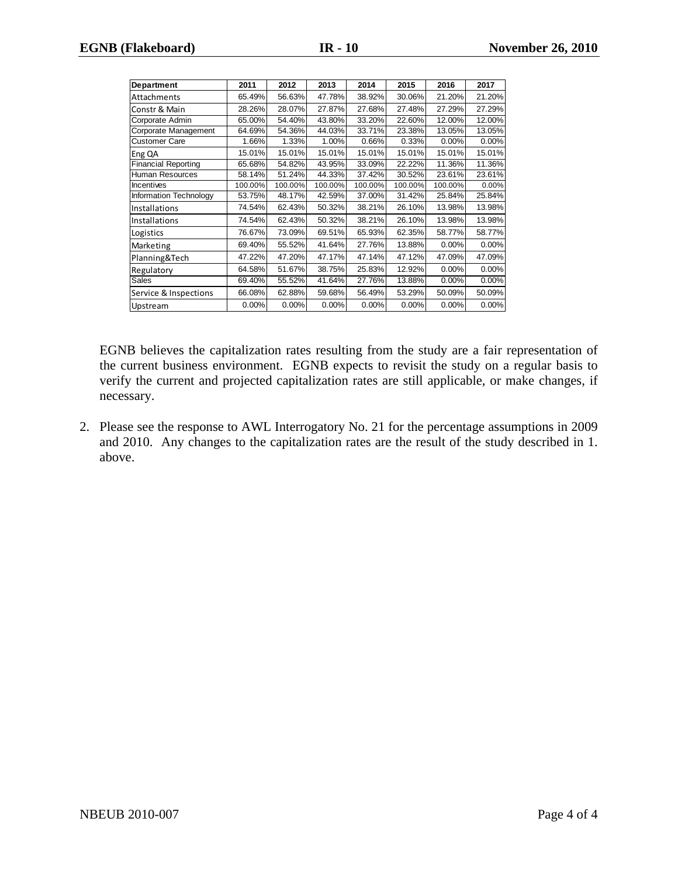| Department                 | 2011    | 2012    | 2013    | 2014    | 2015    | 2016    | 2017   |
|----------------------------|---------|---------|---------|---------|---------|---------|--------|
| Attachments                | 65.49%  | 56.63%  | 47.78%  | 38.92%  | 30.06%  | 21.20%  | 21.20% |
| Constr & Main              | 28.26%  | 28.07%  | 27.87%  | 27.68%  | 27.48%  | 27.29%  | 27.29% |
| Corporate Admin            | 65.00%  | 54.40%  | 43.80%  | 33.20%  | 22.60%  | 12.00%  | 12.00% |
| Corporate Management       | 64.69%  | 54.36%  | 44.03%  | 33.71%  | 23.38%  | 13.05%  | 13.05% |
| <b>Customer Care</b>       | 1.66%   | 1.33%   | 1.00%   | 0.66%   | 0.33%   | 0.00%   | 0.00%  |
| Eng QA                     | 15.01%  | 15.01%  | 15.01%  | 15.01%  | 15.01%  | 15.01%  | 15.01% |
| <b>Financial Reporting</b> | 65.68%  | 54.82%  | 43.95%  | 33.09%  | 22.22%  | 11.36%  | 11.36% |
| <b>Human Resources</b>     | 58.14%  | 51.24%  | 44.33%  | 37.42%  | 30.52%  | 23.61%  | 23.61% |
| Incentives                 | 100.00% | 100.00% | 100.00% | 100.00% | 100.00% | 100.00% | 0.00%  |
| Information Technology     | 53.75%  | 48.17%  | 42.59%  | 37.00%  | 31.42%  | 25.84%  | 25.84% |
| Installations              | 74.54%  | 62.43%  | 50.32%  | 38.21%  | 26.10%  | 13.98%  | 13.98% |
| Installations              | 74.54%  | 62.43%  | 50.32%  | 38.21%  | 26.10%  | 13.98%  | 13.98% |
| Logistics                  | 76.67%  | 73.09%  | 69.51%  | 65.93%  | 62.35%  | 58.77%  | 58.77% |
| Marketing                  | 69.40%  | 55.52%  | 41.64%  | 27.76%  | 13.88%  | 0.00%   | 0.00%  |
| Planning&Tech              | 47.22%  | 47.20%  | 47.17%  | 47.14%  | 47.12%  | 47.09%  | 47.09% |
| Regulatory                 | 64.58%  | 51.67%  | 38.75%  | 25.83%  | 12.92%  | 0.00%   | 0.00%  |
| <b>Sales</b>               | 69.40%  | 55.52%  | 41.64%  | 27.76%  | 13.88%  | 0.00%   | 0.00%  |
| Service & Inspections      | 66.08%  | 62.88%  | 59.68%  | 56.49%  | 53.29%  | 50.09%  | 50.09% |
| Upstream                   | 0.00%   | 0.00%   | 0.00%   | 0.00%   | 0.00%   | 0.00%   | 0.00%  |

EGNB believes the capitalization rates resulting from the study are a fair representation of the current business environment. EGNB expects to revisit the study on a regular basis to verify the current and projected capitalization rates are still applicable, or make changes, if necessary.

2. Please see the response to AWL Interrogatory No. 21 for the percentage assumptions in 2009 and 2010. Any changes to the capitalization rates are the result of the study described in 1. above.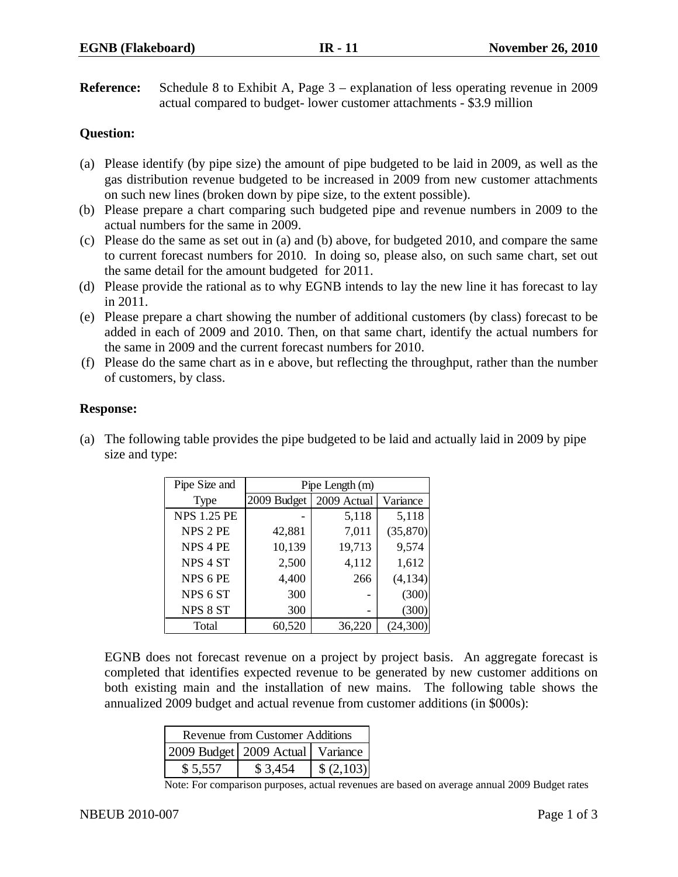**Reference:** Schedule 8 to Exhibit A, Page 3 – explanation of less operating revenue in 2009 actual compared to budget- lower customer attachments - \$3.9 million

## **Question:**

- (a) Please identify (by pipe size) the amount of pipe budgeted to be laid in 2009, as well as the gas distribution revenue budgeted to be increased in 2009 from new customer attachments on such new lines (broken down by pipe size, to the extent possible).
- (b) Please prepare a chart comparing such budgeted pipe and revenue numbers in 2009 to the actual numbers for the same in 2009.
- (c) Please do the same as set out in (a) and (b) above, for budgeted 2010, and compare the same to current forecast numbers for 2010. In doing so, please also, on such same chart, set out the same detail for the amount budgeted for 2011.
- (d) Please provide the rational as to why EGNB intends to lay the new line it has forecast to lay in 2011.
- (e) Please prepare a chart showing the number of additional customers (by class) forecast to be added in each of 2009 and 2010. Then, on that same chart, identify the actual numbers for the same in 2009 and the current forecast numbers for 2010.
- (f) Please do the same chart as in e above, but reflecting the throughput, rather than the number of customers, by class.

## **Response:**

(a) The following table provides the pipe budgeted to be laid and actually laid in 2009 by pipe size and type:

| Pipe Size and       | Pipe Length (m) |             |          |  |
|---------------------|-----------------|-------------|----------|--|
| <b>Type</b>         | 2009 Budget     | 2009 Actual | Variance |  |
| <b>NPS 1.25 PE</b>  |                 | 5,118       | 5,118    |  |
| NPS 2 PE            | 42,881          | 7,011       | (35,870) |  |
| NPS <sub>4</sub> PE | 10,139          | 19,713      | 9,574    |  |
| NPS <sub>4</sub> ST | 2,500           | 4,112       | 1,612    |  |
| NPS 6 PE            | 4,400           | 266         | (4,134)  |  |
| NPS <sub>6</sub> ST | 300             |             | (300)    |  |
| NPS 8 ST            | 300             | -           | (300)    |  |
| Total               | 60,520          | 36,220      | (24,300) |  |

EGNB does not forecast revenue on a project by project basis. An aggregate forecast is completed that identifies expected revenue to be generated by new customer additions on both existing main and the installation of new mains. The following table shows the annualized 2009 budget and actual revenue from customer additions (in \$000s):

| Revenue from Customer Additions      |         |            |  |  |  |
|--------------------------------------|---------|------------|--|--|--|
| 2009 Budget   2009 Actual   Variance |         |            |  |  |  |
| \$5,557                              | \$3.454 | \$ (2,103) |  |  |  |

Note: For comparison purposes, actual revenues are based on average annual 2009 Budget rates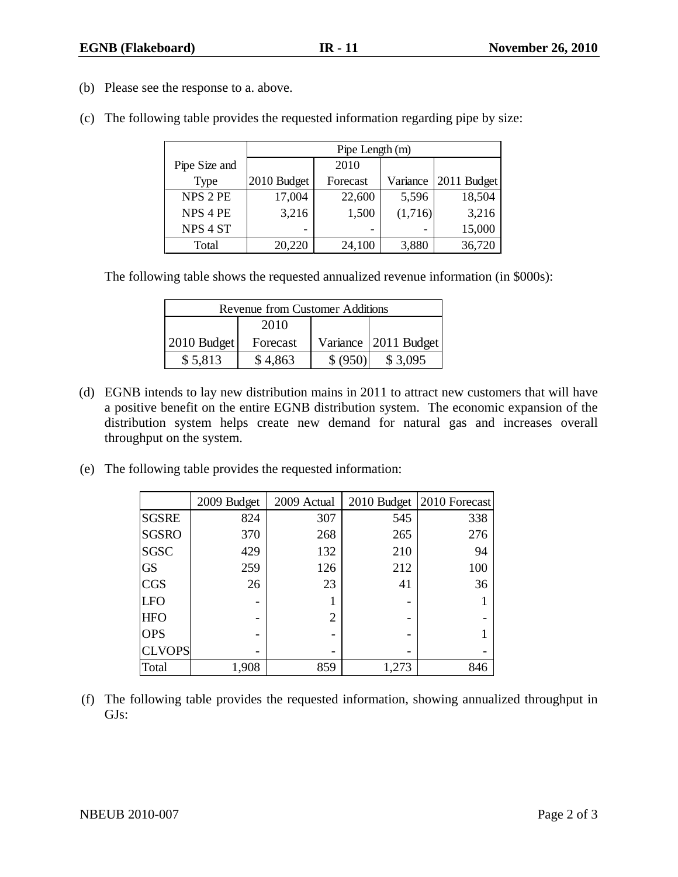- (b) Please see the response to a. above.
- (c) The following table provides the requested information regarding pipe by size:

|                     | Pipe Length (m) |          |          |             |  |  |
|---------------------|-----------------|----------|----------|-------------|--|--|
| Pipe Size and       |                 | 2010     |          |             |  |  |
| Type                | 2010 Budget     | Forecast | Variance | 2011 Budget |  |  |
| <b>NPS 2 PE</b>     | 17,004          | 22,600   | 5,596    | 18,504      |  |  |
| NPS 4 PE            | 3,216           | 1,500    | (1,716)  | 3,216       |  |  |
| NPS <sub>4</sub> ST |                 |          |          | 15,000      |  |  |
| Total               | 20,220          | 24,100   | 3,880    | 36,720      |  |  |

The following table shows the requested annualized revenue information (in \$000s):

| <b>Revenue from Customer Additions</b> |          |          |                        |  |  |  |
|----------------------------------------|----------|----------|------------------------|--|--|--|
| 2010                                   |          |          |                        |  |  |  |
| $2010$ Budget                          | Forecast |          | Variance   2011 Budget |  |  |  |
| \$5,813                                | \$4,863  | \$ (950) | \$3,095                |  |  |  |

- (d) EGNB intends to lay new distribution mains in 2011 to attract new customers that will have a positive benefit on the entire EGNB distribution system. The economic expansion of the distribution system helps create new demand for natural gas and increases overall throughput on the system.
- (e) The following table provides the requested information:

|               | 2009 Budget | 2009 Actual |       | 2010 Budget 2010 Forecast |
|---------------|-------------|-------------|-------|---------------------------|
| <b>SGSRE</b>  | 824         | 307         | 545   | 338                       |
| <b>SGSRO</b>  | 370         | 268         | 265   | 276                       |
| <b>SGSC</b>   | 429         | 132         | 210   | 94                        |
| <b>GS</b>     | 259         | 126         | 212   | 100                       |
| <b>CGS</b>    | 26          | 23          | 41    | 36                        |
| <b>LFO</b>    |             |             |       |                           |
| <b>HFO</b>    |             | 2           |       |                           |
| <b>OPS</b>    |             |             |       |                           |
| <b>CLVOPS</b> |             |             |       |                           |
| Total         | 1,908       | 859         | 1,273 | 846                       |

(f) The following table provides the requested information, showing annualized throughput in GJs: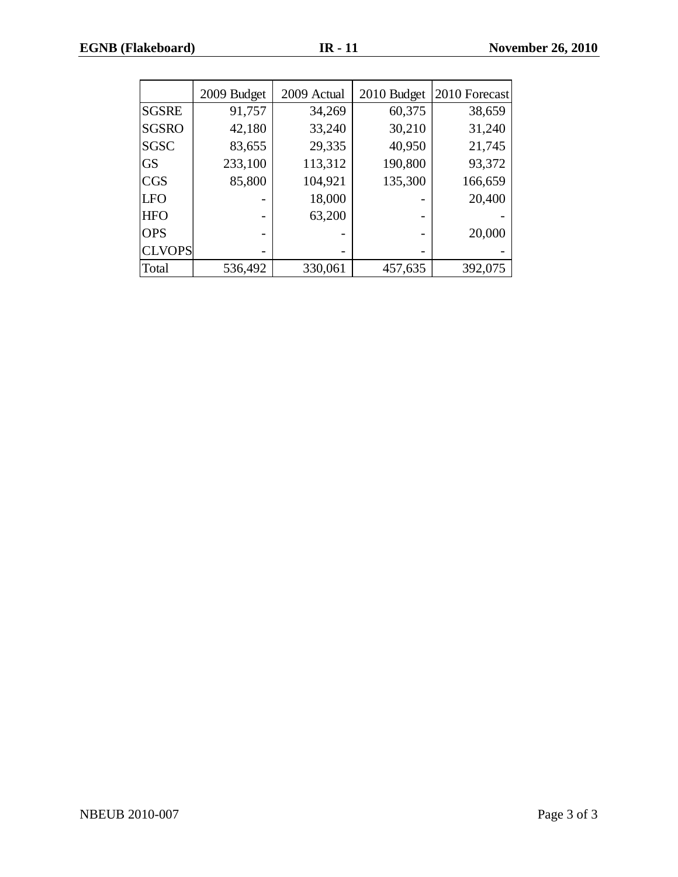|               | 2009 Budget | 2009 Actual | 2010 Budget | 2010 Forecast |
|---------------|-------------|-------------|-------------|---------------|
| <b>SGSRE</b>  | 91,757      | 34,269      | 60,375      | 38,659        |
| <b>SGSRO</b>  | 42,180      | 33,240      | 30,210      | 31,240        |
| <b>SGSC</b>   | 83,655      | 29,335      | 40,950      | 21,745        |
| <b>GS</b>     | 233,100     | 113,312     | 190,800     | 93,372        |
| <b>CGS</b>    | 85,800      | 104,921     | 135,300     | 166,659       |
| <b>LFO</b>    |             | 18,000      |             | 20,400        |
| <b>HFO</b>    |             | 63,200      |             |               |
| <b>OPS</b>    |             |             |             | 20,000        |
| <b>CLVOPS</b> |             |             |             |               |
| Total         | 536,492     | 330,061     | 457,635     | 392,075       |